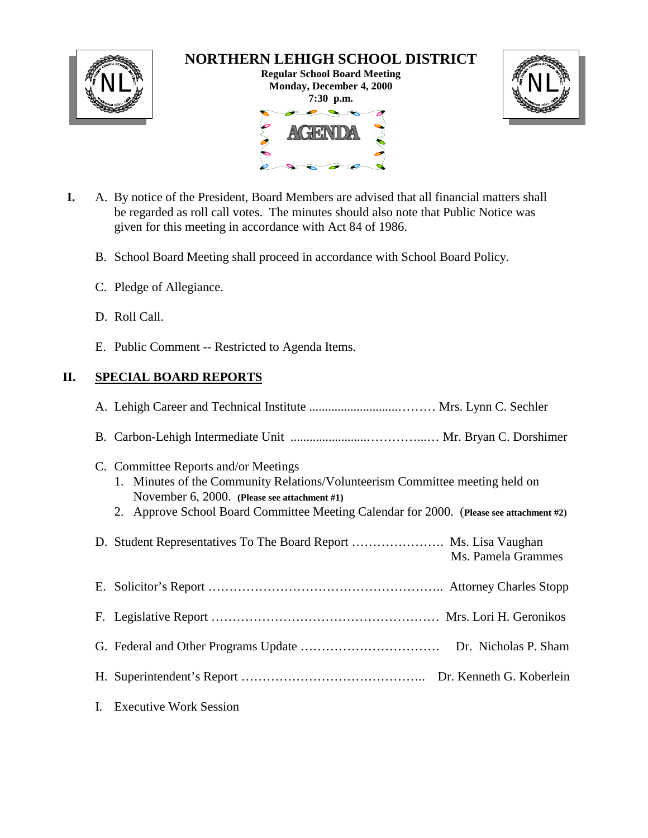

# **NORTHERN LEHIGH SCHOOL DISTRICT**

**Regular School Board Meeting** NL<sup>W</sup><br>Monday, December 4, 2000<br>
Monday, December 4, 2000 **7:30 p.m.** 



- **I.** A. By notice of the President, Board Members are advised that all financial matters shall be regarded as roll call votes. The minutes should also note that Public Notice was given for this meeting in accordance with Act 84 of 1986.
	- B. School Board Meeting shall proceed in accordance with School Board Policy.
	- C. Pledge of Allegiance.
	- D. Roll Call.
	- E. Public Comment -- Restricted to Agenda Items.

# **II. SPECIAL BOARD REPORTS**

|    | C. Committee Reports and/or Meetings<br>1. Minutes of the Community Relations/Volunteerism Committee meeting held on<br>November 6, 2000. (Please see attachment #1)<br>2. Approve School Board Committee Meeting Calendar for 2000. (Please see attachment #2) |
|----|-----------------------------------------------------------------------------------------------------------------------------------------------------------------------------------------------------------------------------------------------------------------|
|    | Ms. Pamela Grammes                                                                                                                                                                                                                                              |
|    |                                                                                                                                                                                                                                                                 |
|    |                                                                                                                                                                                                                                                                 |
|    |                                                                                                                                                                                                                                                                 |
|    |                                                                                                                                                                                                                                                                 |
| L. | <b>Executive Work Session</b>                                                                                                                                                                                                                                   |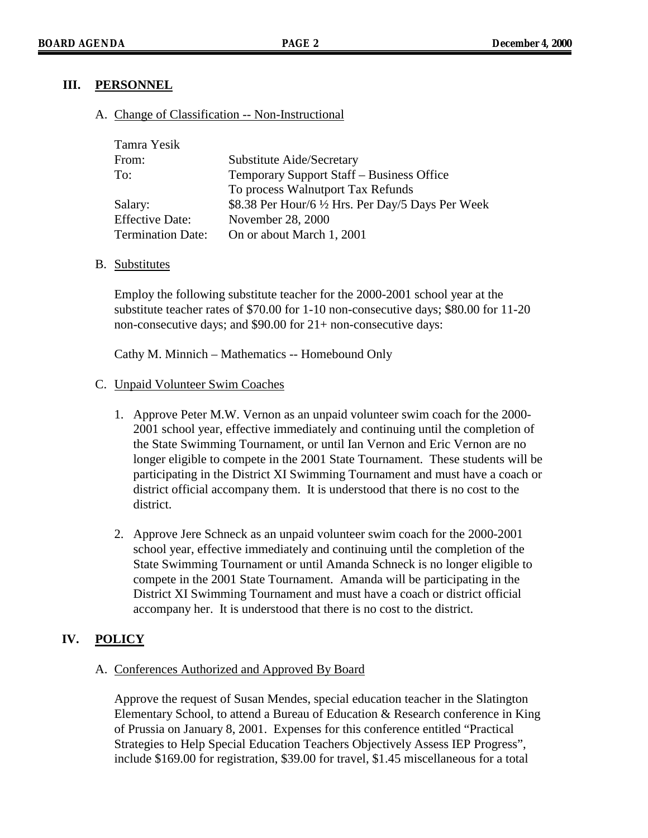## **III. PERSONNEL**

### A. Change of Classification -- Non-Instructional

| Tamra Yesik              |                                                    |
|--------------------------|----------------------------------------------------|
| From:                    | Substitute Aide/Secretary                          |
| To:                      | Temporary Support Staff – Business Office          |
|                          | To process Walnutport Tax Refunds                  |
| Salary:                  | \$8.38 Per Hour/6 1/2 Hrs. Per Day/5 Days Per Week |
| <b>Effective Date:</b>   | November 28, 2000                                  |
| <b>Termination Date:</b> | On or about March 1, 2001                          |

B. Substitutes

Employ the following substitute teacher for the 2000-2001 school year at the substitute teacher rates of \$70.00 for 1-10 non-consecutive days; \$80.00 for 11-20 non-consecutive days; and \$90.00 for 21+ non-consecutive days:

Cathy M. Minnich – Mathematics -- Homebound Only

#### C. Unpaid Volunteer Swim Coaches

- 1. Approve Peter M.W. Vernon as an unpaid volunteer swim coach for the 2000- 2001 school year, effective immediately and continuing until the completion of the State Swimming Tournament, or until Ian Vernon and Eric Vernon are no longer eligible to compete in the 2001 State Tournament. These students will be participating in the District XI Swimming Tournament and must have a coach or district official accompany them. It is understood that there is no cost to the district.
- 2. Approve Jere Schneck as an unpaid volunteer swim coach for the 2000-2001 school year, effective immediately and continuing until the completion of the State Swimming Tournament or until Amanda Schneck is no longer eligible to compete in the 2001 State Tournament. Amanda will be participating in the District XI Swimming Tournament and must have a coach or district official accompany her. It is understood that there is no cost to the district.

# **IV. POLICY**

### A. Conferences Authorized and Approved By Board

Approve the request of Susan Mendes, special education teacher in the Slatington Elementary School, to attend a Bureau of Education  $\&$  Research conference in King of Prussia on January 8, 2001. Expenses for this conference entitled "Practical Strategies to Help Special Education Teachers Objectively Assess IEP Progress", include \$169.00 for registration, \$39.00 for travel, \$1.45 miscellaneous for a total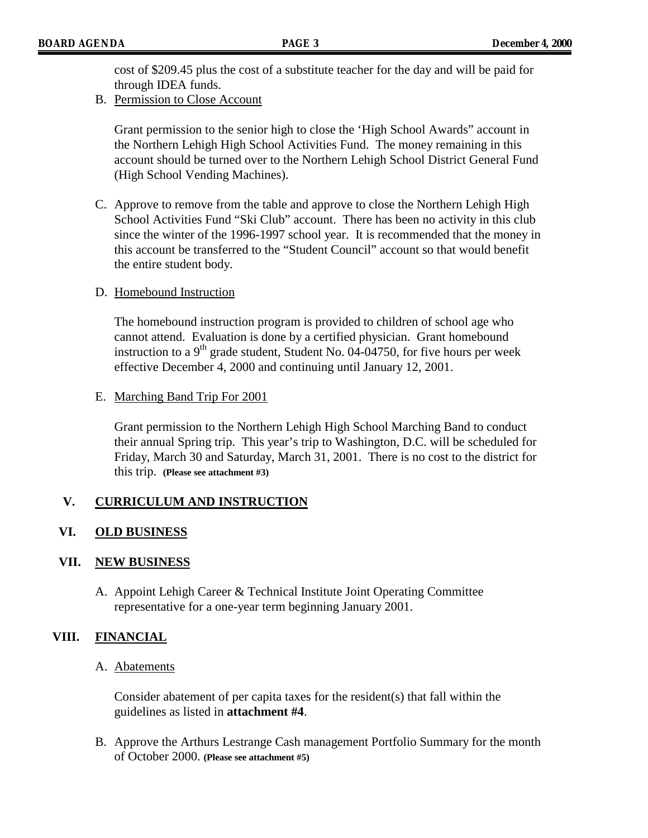cost of \$209.45 plus the cost of a substitute teacher for the day and will be paid for through IDEA funds.

B. Permission to Close Account

Grant permission to the senior high to close the 'High School Awards" account in the Northern Lehigh High School Activities Fund. The money remaining in this account should be turned over to the Northern Lehigh School District General Fund (High School Vending Machines).

C. Approve to remove from the table and approve to close the Northern Lehigh High School Activities Fund "Ski Club" account. There has been no activity in this club since the winter of the 1996-1997 school year. It is recommended that the money in this account be transferred to the "Student Council" account so that would benefit the entire student body.

#### D. Homebound Instruction

The homebound instruction program is provided to children of school age who cannot attend. Evaluation is done by a certified physician. Grant homebound instruction to a  $9<sup>th</sup>$  grade student, Student No. 04-04750, for five hours per week effective December 4, 2000 and continuing until January 12, 2001.

#### E. Marching Band Trip For 2001

Grant permission to the Northern Lehigh High School Marching Band to conduct their annual Spring trip. This year's trip to Washington, D.C. will be scheduled for Friday, March 30 and Saturday, March 31, 2001. There is no cost to the district for this trip. **(Please see attachment #3)**

### **V. CURRICULUM AND INSTRUCTION**

### **VI. OLD BUSINESS**

### **VII. NEW BUSINESS**

A. Appoint Lehigh Career & Technical Institute Joint Operating Committee representative for a one-year term beginning January 2001.

### **VIII. FINANCIAL**

#### A. Abatements

Consider abatement of per capita taxes for the resident(s) that fall within the guidelines as listed in **attachment #4**.

B. Approve the Arthurs Lestrange Cash management Portfolio Summary for the month of October 2000. **(Please see attachment #5)**